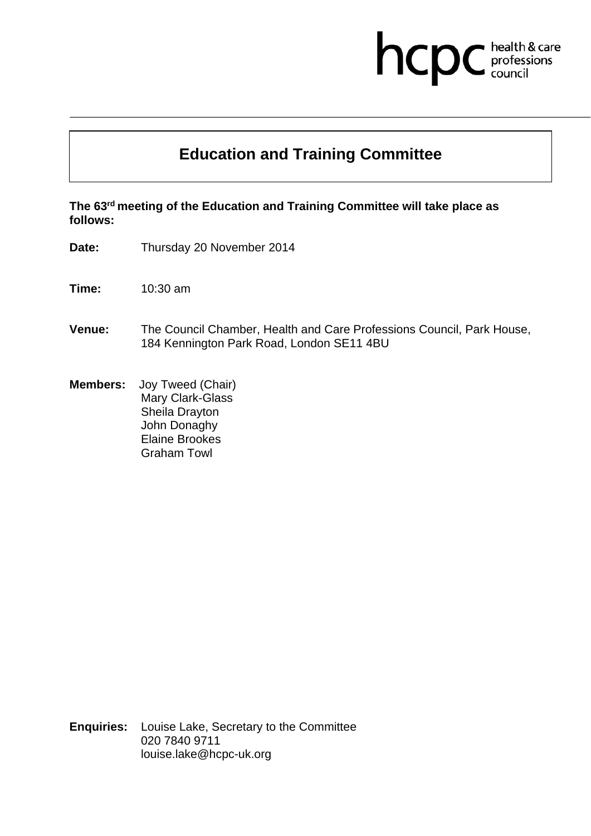## hcpc health & care<br>professions<br>council

## **Education and Training Committee**

**The 63rd meeting of the Education and Training Committee will take place as follows:** 

**Date:** Thursday 20 November 2014

**Time:** 10:30 am

- **Venue:** The Council Chamber, Health and Care Professions Council, Park House, 184 Kennington Park Road, London SE11 4BU
- **Members:** Joy Tweed (Chair) Mary Clark-Glass Sheila Drayton John Donaghy Elaine Brookes Graham Towl

**Enquiries:** Louise Lake, Secretary to the Committee 020 7840 9711 louise.lake@hcpc-uk.org